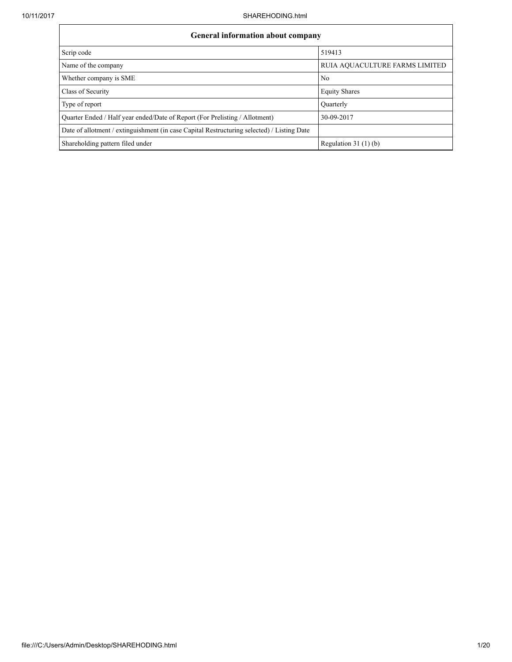$\mathbf{r}$ 

| <b>General information about company</b>                                                   |                                |  |  |  |  |
|--------------------------------------------------------------------------------------------|--------------------------------|--|--|--|--|
| Scrip code                                                                                 | 519413                         |  |  |  |  |
| Name of the company                                                                        | RUIA AQUACULTURE FARMS LIMITED |  |  |  |  |
| Whether company is SME                                                                     | No                             |  |  |  |  |
| Class of Security                                                                          | <b>Equity Shares</b>           |  |  |  |  |
| Type of report                                                                             | Ouarterly                      |  |  |  |  |
| Ouarter Ended / Half year ended/Date of Report (For Prelisting / Allotment)                | 30-09-2017                     |  |  |  |  |
| Date of allotment / extinguishment (in case Capital Restructuring selected) / Listing Date |                                |  |  |  |  |
| Shareholding pattern filed under                                                           | Regulation 31 $(1)(b)$         |  |  |  |  |

÷,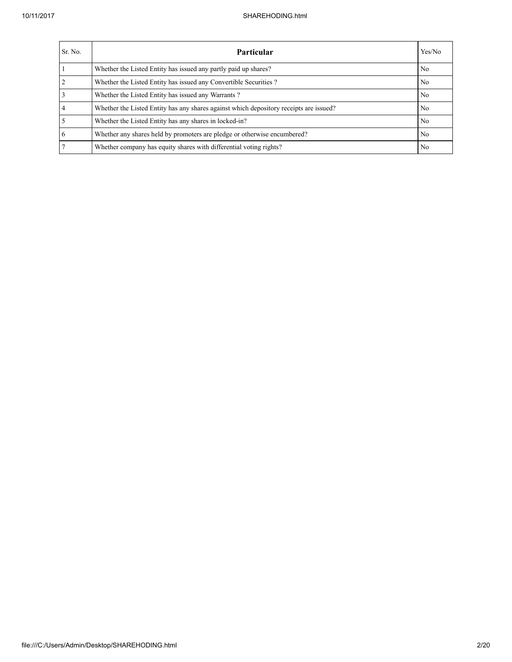| Sr. No. | <b>Particular</b>                                                                      | Yes/No         |
|---------|----------------------------------------------------------------------------------------|----------------|
|         | Whether the Listed Entity has issued any partly paid up shares?                        | N <sub>0</sub> |
|         | Whether the Listed Entity has issued any Convertible Securities?                       | N <sub>0</sub> |
|         | Whether the Listed Entity has issued any Warrants?                                     | N <sub>0</sub> |
|         | Whether the Listed Entity has any shares against which depository receipts are issued? | N <sub>0</sub> |
|         | Whether the Listed Entity has any shares in locked-in?                                 | N <sub>0</sub> |
| 6       | Whether any shares held by promoters are pledge or otherwise encumbered?               | N <sub>0</sub> |
|         | Whether company has equity shares with differential voting rights?                     | N <sub>0</sub> |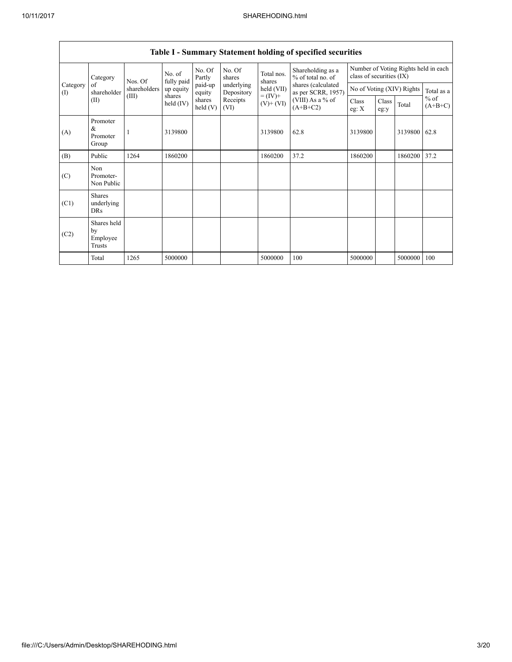|                 | Category                                  | Nos. Of      | No. of<br>fully paid | No. Of<br>Partly  | No. Of<br>shares         | Total nos.<br>shares<br>held (VII) | Shareholding as a<br>% of total no. of<br>shares (calculated<br>as per SCRR, 1957)<br>(VIII) As a % of<br>$(A+B+C2)$ | Number of Voting Rights held in each<br>class of securities (IX) |               |         |                     |
|-----------------|-------------------------------------------|--------------|----------------------|-------------------|--------------------------|------------------------------------|----------------------------------------------------------------------------------------------------------------------|------------------------------------------------------------------|---------------|---------|---------------------|
| Category<br>(I) | of<br>shareholder                         | shareholders | up equity            | paid-up<br>equity | underlying<br>Depository |                                    |                                                                                                                      | No of Voting (XIV) Rights                                        |               |         | Total as a          |
|                 | (II)                                      | (III)        | shares<br>held (IV)  | shares<br>held(V) | Receipts<br>(VI)         | $= (IV) +$<br>$(V)+(VI)$           |                                                                                                                      | Class<br>eg: $X$                                                 | Class<br>eg:y | Total   | $%$ of<br>$(A+B+C)$ |
| (A)             | Promoter<br>$\&$<br>Promoter<br>Group     |              | 3139800              |                   |                          | 3139800                            | 62.8                                                                                                                 | 3139800                                                          |               | 3139800 | 62.8                |
| (B)             | Public                                    | 1264         | 1860200              |                   |                          | 1860200                            | 37.2                                                                                                                 | 1860200                                                          |               | 1860200 | 37.2                |
| (C)             | Non<br>Promoter-<br>Non Public            |              |                      |                   |                          |                                    |                                                                                                                      |                                                                  |               |         |                     |
| (C1)            | <b>Shares</b><br>underlying<br><b>DRs</b> |              |                      |                   |                          |                                    |                                                                                                                      |                                                                  |               |         |                     |
| (C2)            | Shares held<br>by<br>Employee<br>Trusts   |              |                      |                   |                          |                                    |                                                                                                                      |                                                                  |               |         |                     |
|                 | Total                                     | 1265         | 5000000              |                   |                          | 5000000                            | 100                                                                                                                  | 5000000                                                          |               | 5000000 | 100                 |

## Table I - Summary Statement holding of specified securities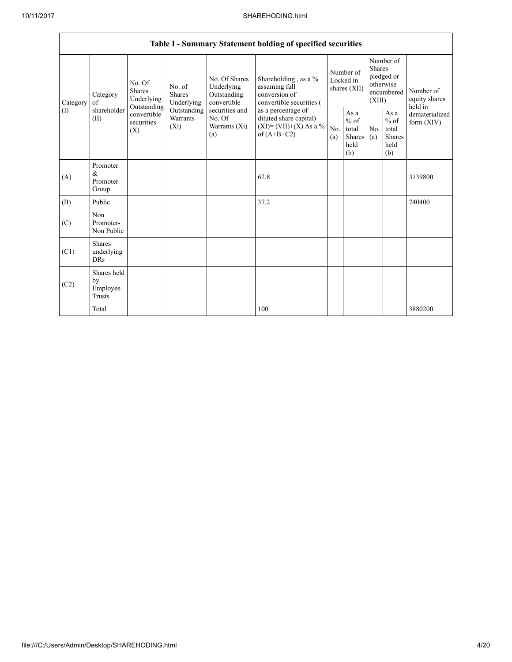|                 | Table I - Summary Statement holding of specified securities |                                                                                       |                                                           |                                                                                    |                                                                                          |            |                                                                               |            |                                                         |                                           |  |
|-----------------|-------------------------------------------------------------|---------------------------------------------------------------------------------------|-----------------------------------------------------------|------------------------------------------------------------------------------------|------------------------------------------------------------------------------------------|------------|-------------------------------------------------------------------------------|------------|---------------------------------------------------------|-------------------------------------------|--|
| Category<br>(I) | Category<br>of<br>shareholder<br>(II)                       | No. Of<br>No. of<br><b>Shares</b><br><b>Shares</b><br>Underlying<br>Underlying        | No. Of Shares<br>Underlying<br>Outstanding<br>convertible | Shareholding, as a %<br>assuming full<br>conversion of<br>convertible securities ( | Number of<br>Locked in<br>shares (XII)                                                   |            | Number of<br><b>Shares</b><br>pledged or<br>otherwise<br>encumbered<br>(XIII) |            | Number of<br>equity shares                              |                                           |  |
|                 |                                                             | Outstanding<br>Outstanding<br>convertible<br>Warrants<br>securities<br>$(X_i)$<br>(X) |                                                           | securities and<br>No. Of<br>Warrants (Xi)<br>(a)                                   | as a percentage of<br>diluted share capital)<br>$(XI)=(VII)+(X) As a %$<br>of $(A+B+C2)$ | No.<br>(a) | As $a$<br>$%$ of<br>total<br>Shares<br>held<br>(b)                            | No.<br>(a) | As a<br>$%$ of<br>total<br><b>Shares</b><br>held<br>(b) | held in<br>dematerialized<br>form $(XIV)$ |  |
| (A)             | Promoter<br>$\&$<br>Promoter<br>Group                       |                                                                                       |                                                           |                                                                                    | 62.8                                                                                     |            |                                                                               |            |                                                         | 3139800                                   |  |
| (B)             | Public                                                      |                                                                                       |                                                           |                                                                                    | 37.2                                                                                     |            |                                                                               |            |                                                         | 740400                                    |  |
| (C)             | Non<br>Promoter-<br>Non Public                              |                                                                                       |                                                           |                                                                                    |                                                                                          |            |                                                                               |            |                                                         |                                           |  |
| (C1)            | <b>Shares</b><br>underlying<br><b>DRs</b>                   |                                                                                       |                                                           |                                                                                    |                                                                                          |            |                                                                               |            |                                                         |                                           |  |
| (C2)            | Shares held<br>by<br>Employee<br>Trusts                     |                                                                                       |                                                           |                                                                                    |                                                                                          |            |                                                                               |            |                                                         |                                           |  |
|                 | Total                                                       |                                                                                       |                                                           |                                                                                    | 100                                                                                      |            |                                                                               |            |                                                         | 3880200                                   |  |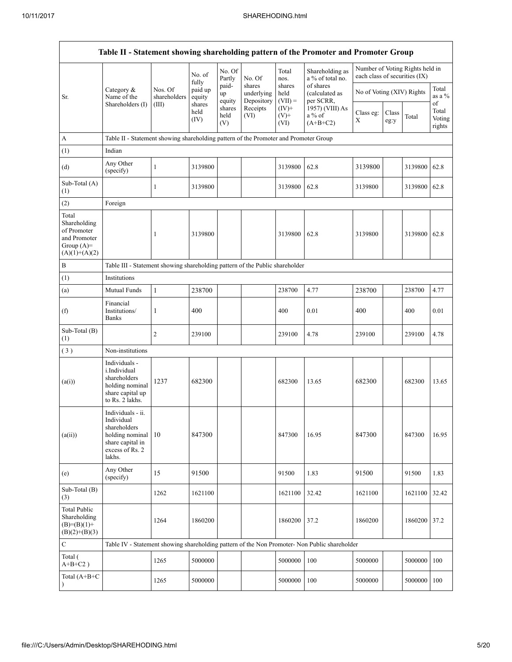| Table II - Statement showing shareholding pattern of the Promoter and Promoter Group    |                                                                                                                     |                         |                        |                       |                                    |                                                                                                      |                                                                                               |                               |               |                                 |                                 |  |
|-----------------------------------------------------------------------------------------|---------------------------------------------------------------------------------------------------------------------|-------------------------|------------------------|-----------------------|------------------------------------|------------------------------------------------------------------------------------------------------|-----------------------------------------------------------------------------------------------|-------------------------------|---------------|---------------------------------|---------------------------------|--|
|                                                                                         |                                                                                                                     |                         | No. of<br>fully        | No. Of<br>Partly      | No. Of                             | Total<br>nos.                                                                                        | Shareholding as<br>a % of total no.                                                           | each class of securities (IX) |               | Number of Voting Rights held in |                                 |  |
| Sr.                                                                                     | Category $\&$<br>Name of the                                                                                        | Nos. Of<br>shareholders | paid up<br>equity      | paid-<br>up<br>equity | shares<br>underlying<br>Depository | of shares<br>shares<br>No of Voting (XIV) Rights<br>held<br>(calculated as<br>$(VII) =$<br>per SCRR, |                                                                                               |                               |               | Total<br>as a %                 |                                 |  |
|                                                                                         | Shareholders (I)                                                                                                    | (III)                   | shares<br>held<br>(IV) | shares<br>held<br>(V) | Receipts<br>(VI)                   | $(IV)+$<br>$(V)$ +<br>(VI)                                                                           | 1957) (VIII) As<br>$a\%$ of<br>$(A+B+C2)$                                                     | Class eg:<br>X                | Class<br>eg:y | Total                           | of<br>Total<br>Voting<br>rights |  |
| A                                                                                       | Table II - Statement showing shareholding pattern of the Promoter and Promoter Group                                |                         |                        |                       |                                    |                                                                                                      |                                                                                               |                               |               |                                 |                                 |  |
| (1)                                                                                     | Indian                                                                                                              |                         |                        |                       |                                    |                                                                                                      |                                                                                               |                               |               |                                 |                                 |  |
| (d)                                                                                     | Any Other<br>(specify)                                                                                              | $\,1$                   | 3139800                |                       |                                    | 3139800                                                                                              | 62.8                                                                                          | 3139800                       |               | 3139800                         | 62.8                            |  |
| Sub-Total (A)<br>(1)                                                                    |                                                                                                                     | 1                       | 3139800                |                       |                                    | 3139800                                                                                              | 62.8                                                                                          | 3139800                       |               | 3139800                         | 62.8                            |  |
| (2)                                                                                     | Foreign                                                                                                             |                         |                        |                       |                                    |                                                                                                      |                                                                                               |                               |               |                                 |                                 |  |
| Total<br>Shareholding<br>of Promoter<br>and Promoter<br>Group $(A)=$<br>$(A)(1)+(A)(2)$ |                                                                                                                     | 1                       | 3139800                |                       |                                    | 3139800                                                                                              | 62.8                                                                                          | 3139800                       |               | 3139800                         | 62.8                            |  |
| B                                                                                       | Table III - Statement showing shareholding pattern of the Public shareholder                                        |                         |                        |                       |                                    |                                                                                                      |                                                                                               |                               |               |                                 |                                 |  |
| (1)                                                                                     | Institutions                                                                                                        |                         |                        |                       |                                    |                                                                                                      |                                                                                               |                               |               |                                 |                                 |  |
| (a)                                                                                     | Mutual Funds                                                                                                        | $\mathbf{1}$            | 238700                 |                       |                                    | 238700                                                                                               | 4.77                                                                                          | 238700                        |               | 238700                          | 4.77                            |  |
| (f)                                                                                     | Financial<br>Institutions/<br><b>Banks</b>                                                                          | 1                       | 400                    |                       |                                    | 400                                                                                                  | 0.01                                                                                          | 400                           |               | 400                             | 0.01                            |  |
| Sub-Total (B)<br>(1)                                                                    |                                                                                                                     | $\overline{c}$          | 239100                 |                       |                                    | 239100                                                                                               | 4.78                                                                                          | 239100                        |               | 239100                          | 4.78                            |  |
| (3)                                                                                     | Non-institutions                                                                                                    |                         |                        |                       |                                    |                                                                                                      |                                                                                               |                               |               |                                 |                                 |  |
| (a(i))                                                                                  | Individuals -<br>i.Individual<br>shareholders<br>holding nominal<br>share capital up<br>to Rs. 2 lakhs.             | 1237                    | 682300                 |                       |                                    | 682300                                                                                               | 13.65                                                                                         | 682300                        |               | 682300                          | 13.65                           |  |
| (a(ii))                                                                                 | Individuals - ii.<br>Individual<br>shareholders<br>holding nominal<br>share capital in<br>excess of Rs. 2<br>lakhs. | 10                      | 847300                 |                       |                                    | 847300                                                                                               | 16.95                                                                                         | 847300                        |               | 847300                          | 16.95                           |  |
| (e)                                                                                     | Any Other<br>(specify)                                                                                              | 15                      | 91500                  |                       |                                    | 91500                                                                                                | 1.83                                                                                          | 91500                         |               | 91500                           | 1.83                            |  |
| Sub-Total (B)<br>(3)                                                                    |                                                                                                                     | 1262                    | 1621100                |                       |                                    | 1621100                                                                                              | 32.42                                                                                         | 1621100                       |               | 1621100                         | 32.42                           |  |
| <b>Total Public</b><br>Shareholding<br>$(B)= (B)(1) +$<br>$(B)(2)+(B)(3)$               |                                                                                                                     | 1264                    | 1860200                |                       |                                    | 1860200                                                                                              | 37.2                                                                                          | 1860200                       |               | 1860200                         | 37.2                            |  |
| $\mathbf C$                                                                             |                                                                                                                     |                         |                        |                       |                                    |                                                                                                      | Table IV - Statement showing shareholding pattern of the Non Promoter- Non Public shareholder |                               |               |                                 |                                 |  |
| Total (<br>$A+B+C2$ )                                                                   |                                                                                                                     | 1265                    | 5000000                |                       |                                    | 5000000                                                                                              | 100                                                                                           | 5000000                       |               | 5000000                         | 100                             |  |
| Total (A+B+C                                                                            |                                                                                                                     | 1265                    | 5000000                |                       |                                    | 5000000                                                                                              | 100                                                                                           | 5000000                       |               | 5000000                         | 100                             |  |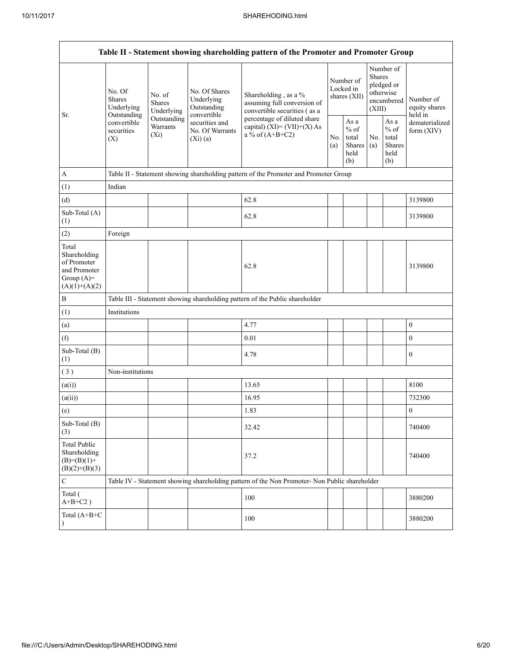| Table II - Statement showing shareholding pattern of the Promoter and Promoter Group    |                                                                  |                                    |                                                           |                                                                                               |                                          |                                                  |                                                                               |                                                  |                                       |  |
|-----------------------------------------------------------------------------------------|------------------------------------------------------------------|------------------------------------|-----------------------------------------------------------|-----------------------------------------------------------------------------------------------|------------------------------------------|--------------------------------------------------|-------------------------------------------------------------------------------|--------------------------------------------------|---------------------------------------|--|
| Sr.                                                                                     | No. Of<br>No. of<br><b>Shares</b><br><b>Shares</b><br>Underlying | Underlying                         | No. Of Shares<br>Underlying<br>Outstanding<br>convertible | Shareholding, as a %<br>assuming full conversion of<br>convertible securities (as a           | Number of<br>Locked in<br>shares $(XII)$ |                                                  | Number of<br><b>Shares</b><br>pledged or<br>otherwise<br>encumbered<br>(XIII) |                                                  | Number of<br>equity shares<br>held in |  |
|                                                                                         | Outstanding<br>convertible<br>securities<br>(X)                  | Outstanding<br>Warrants<br>$(X_i)$ | securities and<br>No. Of Warrants<br>(Xi)(a)              | percentage of diluted share<br>capital) $(XI) = (VII)+(X) As$<br>a % of $(A+B+C2)$            |                                          | As a<br>$%$ of<br>total<br>Shares<br>held<br>(b) | No.<br>(a)                                                                    | As a<br>$%$ of<br>total<br>Shares<br>held<br>(b) | dematerialized<br>form $(XIV)$        |  |
| $\mathbf{A}$                                                                            |                                                                  |                                    |                                                           | Table II - Statement showing shareholding pattern of the Promoter and Promoter Group          |                                          |                                                  |                                                                               |                                                  |                                       |  |
| (1)                                                                                     | Indian                                                           |                                    |                                                           |                                                                                               |                                          |                                                  |                                                                               |                                                  |                                       |  |
| (d)                                                                                     |                                                                  |                                    |                                                           | 62.8                                                                                          |                                          |                                                  |                                                                               |                                                  | 3139800                               |  |
| Sub-Total (A)<br>(1)                                                                    |                                                                  |                                    |                                                           | 62.8                                                                                          |                                          |                                                  |                                                                               |                                                  | 3139800                               |  |
| (2)                                                                                     | Foreign                                                          |                                    |                                                           |                                                                                               |                                          |                                                  |                                                                               |                                                  |                                       |  |
| Total<br>Shareholding<br>of Promoter<br>and Promoter<br>Group $(A)=$<br>$(A)(1)+(A)(2)$ |                                                                  |                                    |                                                           | 62.8                                                                                          |                                          |                                                  |                                                                               |                                                  | 3139800                               |  |
| $\boldsymbol{B}$                                                                        |                                                                  |                                    |                                                           | Table III - Statement showing shareholding pattern of the Public shareholder                  |                                          |                                                  |                                                                               |                                                  |                                       |  |
| (1)                                                                                     | Institutions                                                     |                                    |                                                           |                                                                                               |                                          |                                                  |                                                                               |                                                  |                                       |  |
| (a)                                                                                     |                                                                  |                                    |                                                           | 4.77                                                                                          |                                          |                                                  |                                                                               |                                                  | $\boldsymbol{0}$                      |  |
| (f)                                                                                     |                                                                  |                                    |                                                           | 0.01                                                                                          |                                          |                                                  |                                                                               |                                                  | $\boldsymbol{0}$                      |  |
| Sub-Total (B)<br>(1)                                                                    |                                                                  |                                    |                                                           | 4.78                                                                                          |                                          |                                                  |                                                                               |                                                  | $\boldsymbol{0}$                      |  |
| (3)                                                                                     | Non-institutions                                                 |                                    |                                                           |                                                                                               |                                          |                                                  |                                                                               |                                                  |                                       |  |
| (a(i))                                                                                  |                                                                  |                                    |                                                           | 13.65                                                                                         |                                          |                                                  |                                                                               |                                                  | 8100                                  |  |
| (a(ii))                                                                                 |                                                                  |                                    |                                                           | 16.95                                                                                         |                                          |                                                  |                                                                               |                                                  | 732300                                |  |
| (e)                                                                                     |                                                                  |                                    |                                                           | 1.83                                                                                          |                                          |                                                  |                                                                               |                                                  | $\boldsymbol{0}$                      |  |
| Sub-Total (B)<br>(3)                                                                    |                                                                  |                                    |                                                           | 32.42                                                                                         |                                          |                                                  |                                                                               |                                                  | 740400                                |  |
| <b>Total Public</b><br>Shareholding<br>$(B)= (B)(1) +$<br>$(B)(2)+(B)(3)$               |                                                                  |                                    |                                                           | 37.2                                                                                          |                                          |                                                  |                                                                               |                                                  | 740400                                |  |
| $\mathsf C$                                                                             |                                                                  |                                    |                                                           | Table IV - Statement showing shareholding pattern of the Non Promoter- Non Public shareholder |                                          |                                                  |                                                                               |                                                  |                                       |  |
| Total (<br>$A+B+C2$ )                                                                   |                                                                  |                                    |                                                           | 100                                                                                           |                                          |                                                  |                                                                               |                                                  | 3880200                               |  |
| Total (A+B+C<br>$\lambda$                                                               |                                                                  |                                    |                                                           | 100                                                                                           |                                          |                                                  |                                                                               |                                                  | 3880200                               |  |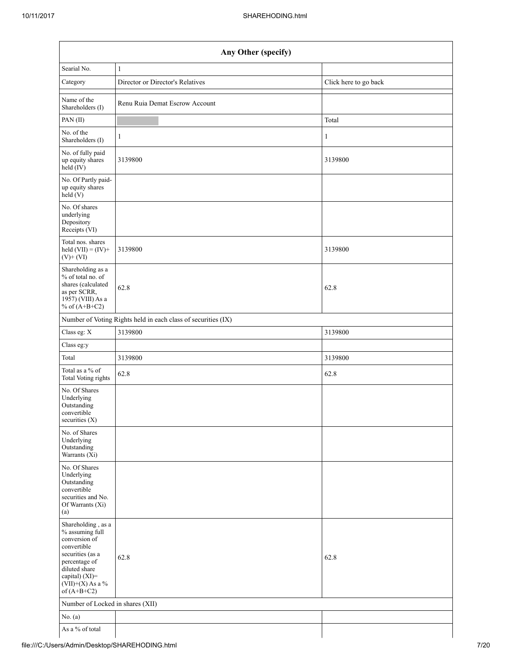| Any Other (specify)                                                                                                                                                                  |                                                               |                       |  |  |  |  |  |
|--------------------------------------------------------------------------------------------------------------------------------------------------------------------------------------|---------------------------------------------------------------|-----------------------|--|--|--|--|--|
| Searial No.                                                                                                                                                                          | $\mathbf{1}$                                                  |                       |  |  |  |  |  |
| Category                                                                                                                                                                             | Director or Director's Relatives                              | Click here to go back |  |  |  |  |  |
| Name of the<br>Shareholders (I)                                                                                                                                                      | Renu Ruia Demat Escrow Account                                |                       |  |  |  |  |  |
| PAN (II)                                                                                                                                                                             |                                                               | Total                 |  |  |  |  |  |
| No. of the<br>Shareholders (I)                                                                                                                                                       | 1                                                             | 1                     |  |  |  |  |  |
| No. of fully paid<br>up equity shares<br>$\text{held}(\text{IV})$                                                                                                                    | 3139800                                                       | 3139800               |  |  |  |  |  |
| No. Of Partly paid-<br>up equity shares<br>held(V)                                                                                                                                   |                                                               |                       |  |  |  |  |  |
| No. Of shares<br>underlying<br>Depository<br>Receipts (VI)                                                                                                                           |                                                               |                       |  |  |  |  |  |
| Total nos. shares<br>held $(VII) = (IV) +$<br>$(V)+(VI)$                                                                                                                             | 3139800                                                       | 3139800               |  |  |  |  |  |
| Shareholding as a<br>% of total no. of<br>shares (calculated<br>as per SCRR,<br>1957) (VIII) As a<br>% of $(A+B+C2)$                                                                 | 62.8                                                          | 62.8                  |  |  |  |  |  |
|                                                                                                                                                                                      | Number of Voting Rights held in each class of securities (IX) |                       |  |  |  |  |  |
| Class eg: X                                                                                                                                                                          | 3139800                                                       | 3139800               |  |  |  |  |  |
| Class eg:y                                                                                                                                                                           |                                                               |                       |  |  |  |  |  |
| Total                                                                                                                                                                                | 3139800                                                       | 3139800               |  |  |  |  |  |
| Total as a % of<br>Total Voting rights                                                                                                                                               | 62.8                                                          | 62.8                  |  |  |  |  |  |
| No. Of Shares<br>Underlying<br>Outstanding<br>convertible<br>securities $(X)$                                                                                                        |                                                               |                       |  |  |  |  |  |
| No. of Shares<br>Underlying<br>Outstanding<br>Warrants (Xi)                                                                                                                          |                                                               |                       |  |  |  |  |  |
| No. Of Shares<br>Underlying<br>Outstanding<br>convertible<br>securities and No.<br>Of Warrants (Xi)<br>(a)                                                                           |                                                               |                       |  |  |  |  |  |
| Shareholding, as a<br>% assuming full<br>conversion of<br>convertible<br>securities (as a<br>percentage of<br>diluted share<br>capital) (XI)=<br>$(VII)+(X)$ As a %<br>of $(A+B+C2)$ | 62.8                                                          | 62.8                  |  |  |  |  |  |
| Number of Locked in shares (XII)                                                                                                                                                     |                                                               |                       |  |  |  |  |  |
| No. $(a)$                                                                                                                                                                            |                                                               |                       |  |  |  |  |  |
| As a % of total                                                                                                                                                                      |                                                               |                       |  |  |  |  |  |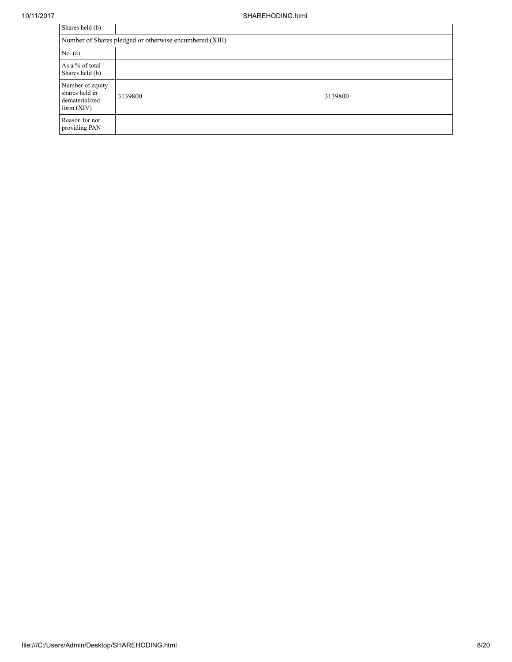| Shares held (b)                                                      |         |         |  |  |  |  |  |  |
|----------------------------------------------------------------------|---------|---------|--|--|--|--|--|--|
| Number of Shares pledged or otherwise encumbered (XIII)              |         |         |  |  |  |  |  |  |
| No. (a)                                                              |         |         |  |  |  |  |  |  |
| As a % of total<br>Shares held (b)                                   |         |         |  |  |  |  |  |  |
| Number of equity<br>shares held in<br>dematerialized<br>form $(XIV)$ | 3139800 | 3139800 |  |  |  |  |  |  |
| Reason for not<br>providing PAN                                      |         |         |  |  |  |  |  |  |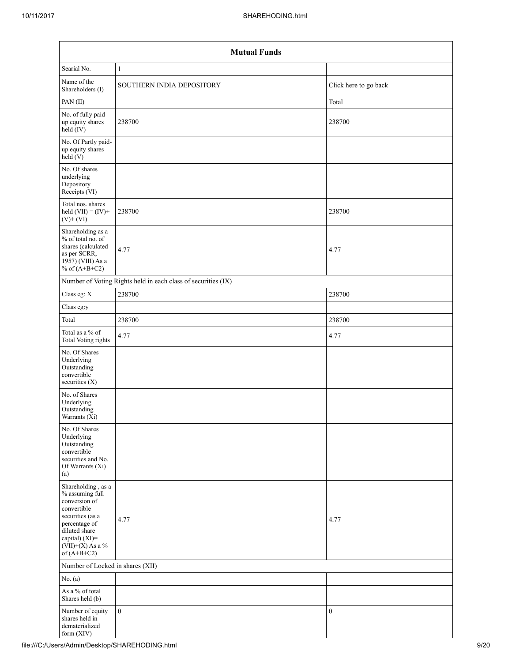| <b>Mutual Funds</b>                                                                                                                                                                  |                                                               |                       |  |  |  |  |  |  |
|--------------------------------------------------------------------------------------------------------------------------------------------------------------------------------------|---------------------------------------------------------------|-----------------------|--|--|--|--|--|--|
| Searial No.                                                                                                                                                                          | $\mathbf{1}$                                                  |                       |  |  |  |  |  |  |
| Name of the<br>Shareholders (I)                                                                                                                                                      | SOUTHERN INDIA DEPOSITORY                                     | Click here to go back |  |  |  |  |  |  |
| PAN(II)                                                                                                                                                                              |                                                               | Total                 |  |  |  |  |  |  |
| No. of fully paid<br>up equity shares<br>$\text{held}(\text{IV})$                                                                                                                    | 238700                                                        | 238700                |  |  |  |  |  |  |
| No. Of Partly paid-<br>up equity shares<br>held $(V)$                                                                                                                                |                                                               |                       |  |  |  |  |  |  |
| No. Of shares<br>underlying<br>Depository<br>Receipts (VI)                                                                                                                           |                                                               |                       |  |  |  |  |  |  |
| Total nos. shares<br>held $(VII) = (IV) +$<br>$(V)+(VI)$                                                                                                                             | 238700                                                        | 238700                |  |  |  |  |  |  |
| Shareholding as a<br>% of total no. of<br>shares (calculated<br>as per SCRR,<br>1957) (VIII) As a<br>% of $(A+B+C2)$                                                                 | 4.77                                                          | 4.77                  |  |  |  |  |  |  |
|                                                                                                                                                                                      | Number of Voting Rights held in each class of securities (IX) |                       |  |  |  |  |  |  |
| Class eg: X                                                                                                                                                                          | 238700                                                        | 238700                |  |  |  |  |  |  |
| Class eg:y                                                                                                                                                                           |                                                               |                       |  |  |  |  |  |  |
| Total                                                                                                                                                                                | 238700                                                        | 238700                |  |  |  |  |  |  |
| Total as a % of<br><b>Total Voting rights</b>                                                                                                                                        | 4.77                                                          | 4.77                  |  |  |  |  |  |  |
| No. Of Shares<br>Underlying<br>Outstanding<br>convertible<br>securities (X)                                                                                                          |                                                               |                       |  |  |  |  |  |  |
| No. of Shares<br>Underlying<br>Outstanding<br>Warrants (Xi)                                                                                                                          |                                                               |                       |  |  |  |  |  |  |
| No. Of Shares<br>Underlying<br>Outstanding<br>convertible<br>securities and No.<br>Of Warrants (Xi)<br>(a)                                                                           |                                                               |                       |  |  |  |  |  |  |
| Shareholding, as a<br>% assuming full<br>conversion of<br>convertible<br>securities (as a<br>percentage of<br>diluted share<br>capital) (XI)=<br>$(VII)+(X)$ As a %<br>of $(A+B+C2)$ | 4.77                                                          | 4.77                  |  |  |  |  |  |  |
| Number of Locked in shares (XII)                                                                                                                                                     |                                                               |                       |  |  |  |  |  |  |
| No. $(a)$                                                                                                                                                                            |                                                               |                       |  |  |  |  |  |  |
| As a % of total<br>Shares held (b)                                                                                                                                                   |                                                               |                       |  |  |  |  |  |  |
| Number of equity<br>shares held in<br>dematerialized<br>form (XIV)                                                                                                                   | $\mathbf{0}$                                                  | $\boldsymbol{0}$      |  |  |  |  |  |  |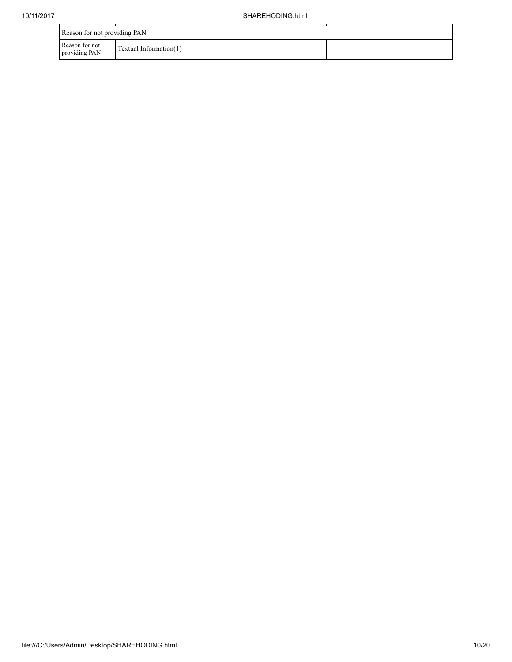|                                 | Reason for not providing PAN |  |  |  |  |  |  |  |  |
|---------------------------------|------------------------------|--|--|--|--|--|--|--|--|
| Reason for not<br>providing PAN | Textual Information(1)       |  |  |  |  |  |  |  |  |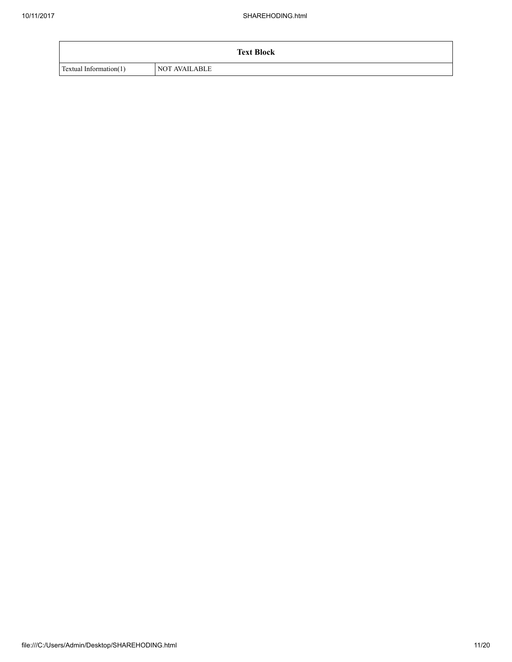|                        | <b>Text Block</b>    |
|------------------------|----------------------|
| Textual Information(1) | <b>NOT AVAILABLE</b> |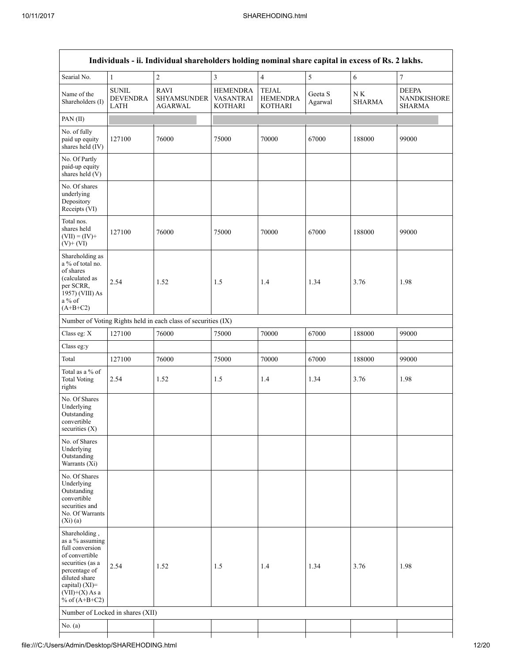| Individuals - ii. Individual shareholders holding nominal share capital in excess of Rs. 2 lakhs.                                                                                    |                                                |                                                               |                                                       |                                                   |                    |                               |                                                     |  |  |  |
|--------------------------------------------------------------------------------------------------------------------------------------------------------------------------------------|------------------------------------------------|---------------------------------------------------------------|-------------------------------------------------------|---------------------------------------------------|--------------------|-------------------------------|-----------------------------------------------------|--|--|--|
| Searial No.                                                                                                                                                                          | $\mathbf{1}$                                   | $\boldsymbol{2}$                                              | 3                                                     | $\overline{4}$                                    | 5                  | 6                             | $\boldsymbol{7}$                                    |  |  |  |
| Name of the<br>Shareholders (I)                                                                                                                                                      | <b>SUNIL</b><br><b>DEVENDRA</b><br><b>LATH</b> | <b>RAVI</b><br>SHYAMSUNDER<br><b>AGARWAL</b>                  | <b>HEMENDRA</b><br><b>VASANTRAI</b><br><b>KOTHARI</b> | <b>TEJAL</b><br><b>HEMENDRA</b><br><b>KOTHARI</b> | Geeta S<br>Agarwal | ${\rm N\,K}$<br><b>SHARMA</b> | <b>DEEPA</b><br><b>NANDKISHORE</b><br><b>SHARMA</b> |  |  |  |
| PAN(II)                                                                                                                                                                              |                                                |                                                               |                                                       |                                                   |                    |                               |                                                     |  |  |  |
| No. of fully<br>paid up equity<br>shares held (IV)                                                                                                                                   | 127100                                         | 76000                                                         | 75000                                                 | 70000                                             | 67000              | 188000                        | 99000                                               |  |  |  |
| No. Of Partly<br>paid-up equity<br>shares held (V)                                                                                                                                   |                                                |                                                               |                                                       |                                                   |                    |                               |                                                     |  |  |  |
| No. Of shares<br>underlying<br>Depository<br>Receipts (VI)                                                                                                                           |                                                |                                                               |                                                       |                                                   |                    |                               |                                                     |  |  |  |
| Total nos.<br>shares held<br>$(VII) = (IV) +$<br>$(V)$ + $(VI)$                                                                                                                      | 127100                                         | 76000                                                         | 75000                                                 | 70000                                             | 67000              | 188000                        | 99000                                               |  |  |  |
| Shareholding as<br>a % of total no.<br>of shares<br>(calculated as<br>per SCRR,<br>1957) (VIII) As<br>a% of<br>$(A+B+C2)$                                                            | 2.54                                           | 1.52                                                          | 1.5                                                   | 1.4                                               | 1.34               | 3.76                          | 1.98                                                |  |  |  |
|                                                                                                                                                                                      |                                                | Number of Voting Rights held in each class of securities (IX) |                                                       |                                                   |                    |                               |                                                     |  |  |  |
| Class eg: X                                                                                                                                                                          | 127100                                         | 76000                                                         | 75000                                                 | 70000                                             | 67000              | 188000                        | 99000                                               |  |  |  |
| Class eg:y                                                                                                                                                                           |                                                |                                                               |                                                       |                                                   |                    |                               |                                                     |  |  |  |
| Total                                                                                                                                                                                | 127100                                         | 76000                                                         | 75000                                                 | 70000                                             | 67000              | 188000                        | 99000                                               |  |  |  |
| Total as a % of<br><b>Total Voting</b><br>rights                                                                                                                                     | 2.54                                           | 1.52                                                          | 1.5                                                   | 1.4                                               | 1.34               | 3.76                          | 1.98                                                |  |  |  |
| No. Of Shares<br>Underlying<br>Outstanding<br>convertible<br>securities $(X)$                                                                                                        |                                                |                                                               |                                                       |                                                   |                    |                               |                                                     |  |  |  |
| No. of Shares<br>Underlying<br>Outstanding<br>Warrants (Xi)                                                                                                                          |                                                |                                                               |                                                       |                                                   |                    |                               |                                                     |  |  |  |
| No. Of Shares<br>Underlying<br>Outstanding<br>convertible<br>securities and<br>No. Of Warrants<br>(Xi)(a)                                                                            |                                                |                                                               |                                                       |                                                   |                    |                               |                                                     |  |  |  |
| Shareholding,<br>as a % assuming<br>full conversion<br>of convertible<br>securities (as a<br>percentage of<br>diluted share<br>capital) (XI)=<br>$(VII)+(X)$ As a<br>% of $(A+B+C2)$ | 2.54                                           | 1.52                                                          | 1.5                                                   | 1.4                                               | 1.34               | 3.76                          | 1.98                                                |  |  |  |
| Number of Locked in shares (XII)                                                                                                                                                     |                                                |                                                               |                                                       |                                                   |                    |                               |                                                     |  |  |  |
| No. (a)                                                                                                                                                                              |                                                |                                                               |                                                       |                                                   |                    |                               |                                                     |  |  |  |
|                                                                                                                                                                                      |                                                |                                                               |                                                       |                                                   |                    |                               |                                                     |  |  |  |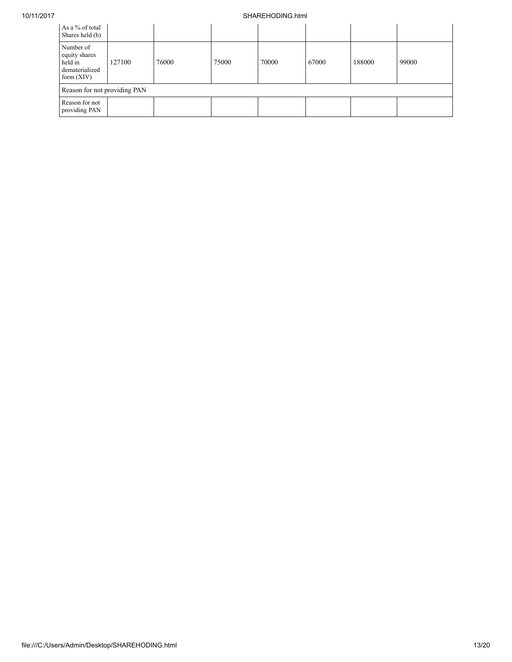## 10/11/2017 SHAREHODING.html

| As a % of total<br>Shares held (b)                                      |        |       |       |       |       |        |       |
|-------------------------------------------------------------------------|--------|-------|-------|-------|-------|--------|-------|
| Number of<br>equity shares<br>held in<br>dematerialized<br>form $(XIV)$ | 127100 | 76000 | 75000 | 70000 | 67000 | 188000 | 99000 |
| Reason for not providing PAN                                            |        |       |       |       |       |        |       |
| Reason for not<br>providing PAN                                         |        |       |       |       |       |        |       |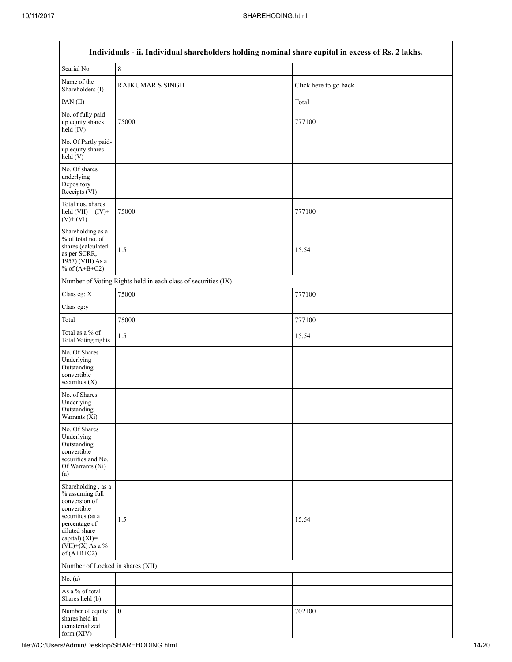| Individuals - ii. Individual shareholders holding nominal share capital in excess of Rs. 2 lakhs.                                                                                       |                                                               |                       |  |
|-----------------------------------------------------------------------------------------------------------------------------------------------------------------------------------------|---------------------------------------------------------------|-----------------------|--|
| Searial No.                                                                                                                                                                             | $\,$ 8 $\,$                                                   |                       |  |
| Name of the<br>Shareholders (I)                                                                                                                                                         | <b>RAJKUMAR S SINGH</b>                                       | Click here to go back |  |
| PAN(II)                                                                                                                                                                                 |                                                               | Total                 |  |
| No. of fully paid<br>up equity shares<br>$held$ $(IV)$                                                                                                                                  | 75000                                                         | 777100                |  |
| No. Of Partly paid-<br>up equity shares<br>held(V)                                                                                                                                      |                                                               |                       |  |
| No. Of shares<br>underlying<br>Depository<br>Receipts (VI)                                                                                                                              |                                                               |                       |  |
| Total nos. shares<br>held $(VII) = (IV) +$<br>$(V)+(VI)$                                                                                                                                | 75000                                                         | 777100                |  |
| Shareholding as a<br>% of total no. of<br>shares (calculated<br>as per SCRR,<br>$19\overline{57}$ ) (VIII) As a<br>% of $(A+B+C2)$                                                      | 1.5                                                           | 15.54                 |  |
|                                                                                                                                                                                         | Number of Voting Rights held in each class of securities (IX) |                       |  |
| Class eg: X                                                                                                                                                                             | 75000                                                         | 777100                |  |
| Class eg:y                                                                                                                                                                              |                                                               |                       |  |
| Total                                                                                                                                                                                   | 75000                                                         | 777100                |  |
| Total as a % of<br>Total Voting rights                                                                                                                                                  | 1.5                                                           | 15.54                 |  |
| No. Of Shares<br>Underlying<br>Outstanding<br>convertible<br>securities $(X)$                                                                                                           |                                                               |                       |  |
| No. of Shares<br>Underlying<br>Outstanding<br>Warrants (Xi)                                                                                                                             |                                                               |                       |  |
| No. Of Shares<br>Underlying<br>Outstanding<br>convertible<br>securities and No.<br>Of Warrants (Xi)<br>(a)                                                                              |                                                               |                       |  |
| Shareholding, as a<br>% assuming full<br>conversion of<br>convertible<br>securities (as a<br>percentage of<br>diluted share<br>capital) $(XI)$ =<br>$(VII)+(X)$ As a %<br>of $(A+B+C2)$ | 1.5                                                           | 15.54                 |  |
| Number of Locked in shares (XII)                                                                                                                                                        |                                                               |                       |  |
| No. $(a)$                                                                                                                                                                               |                                                               |                       |  |
| As a % of total<br>Shares held (b)                                                                                                                                                      |                                                               |                       |  |
| Number of equity<br>shares held in<br>dematerialized<br>form $(XIV)$                                                                                                                    | $\mathbf{0}$                                                  | 702100                |  |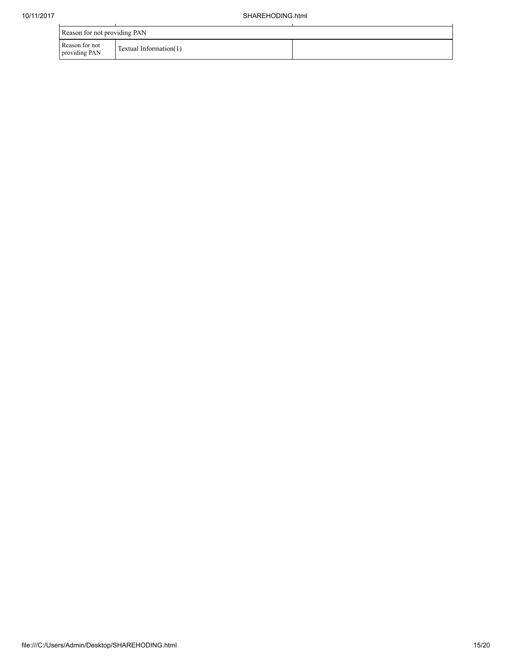| Reason for not providing PAN    |                        |  |  |
|---------------------------------|------------------------|--|--|
| Reason for not<br>providing PAN | Textual Information(1) |  |  |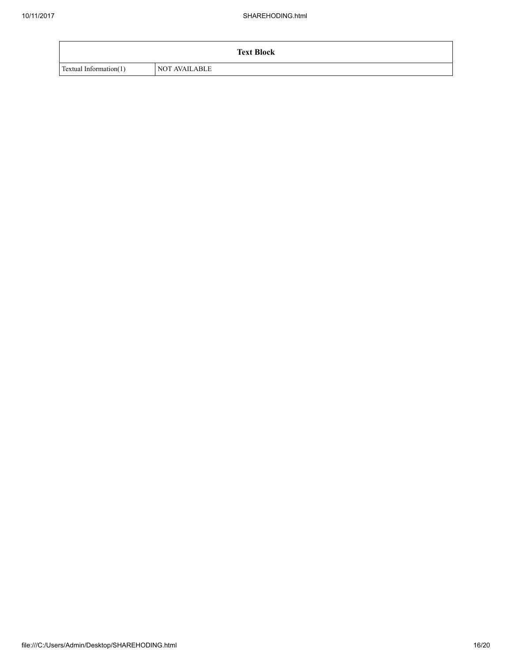|                        | <b>Text Block</b>    |
|------------------------|----------------------|
| Textual Information(1) | <b>NOT AVAILABLE</b> |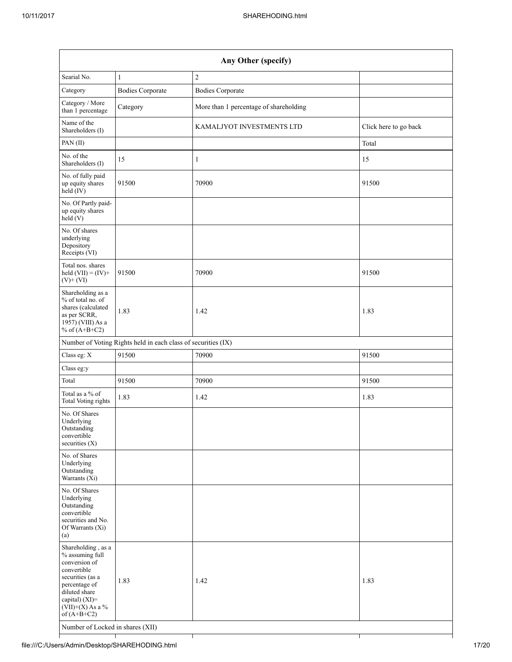| Any Other (specify)                                                                                                                                                                                                      |                                                               |                                        |                       |
|--------------------------------------------------------------------------------------------------------------------------------------------------------------------------------------------------------------------------|---------------------------------------------------------------|----------------------------------------|-----------------------|
| Searial No.                                                                                                                                                                                                              | $\mathbf{1}$                                                  | $\sqrt{2}$                             |                       |
| Category                                                                                                                                                                                                                 | <b>Bodies Corporate</b>                                       | <b>Bodies Corporate</b>                |                       |
| Category / More<br>than 1 percentage                                                                                                                                                                                     | Category                                                      | More than 1 percentage of shareholding |                       |
| Name of the<br>Shareholders (I)                                                                                                                                                                                          |                                                               | KAMALJYOT INVESTMENTS LTD              | Click here to go back |
| PAN(II)                                                                                                                                                                                                                  |                                                               |                                        | Total                 |
| No. of the<br>Shareholders (I)                                                                                                                                                                                           | 15                                                            | $\mathbf{1}$                           | 15                    |
| No. of fully paid<br>up equity shares<br>$\text{held}(\text{IV})$                                                                                                                                                        | 91500                                                         | 70900                                  | 91500                 |
| No. Of Partly paid-<br>up equity shares<br>held(V)                                                                                                                                                                       |                                                               |                                        |                       |
| No. Of shares<br>underlying<br>Depository<br>Receipts (VI)                                                                                                                                                               |                                                               |                                        |                       |
| Total nos. shares<br>held $(VII) = (IV) +$<br>$(V)+(VI)$                                                                                                                                                                 | 91500                                                         | 70900                                  | 91500                 |
| Shareholding as a<br>% of total no. of<br>shares (calculated<br>as per SCRR,<br>1957) (VIII) As a<br>% of $(A+B+C2)$                                                                                                     | 1.83                                                          | 1.42                                   | 1.83                  |
|                                                                                                                                                                                                                          | Number of Voting Rights held in each class of securities (IX) |                                        |                       |
| Class eg: X                                                                                                                                                                                                              | 91500                                                         | 70900                                  | 91500                 |
| Class eg:y                                                                                                                                                                                                               |                                                               |                                        |                       |
| Total                                                                                                                                                                                                                    | 91500                                                         | 70900                                  | 91500                 |
| Total as a % of<br><b>Total Voting rights</b>                                                                                                                                                                            | 1.83                                                          | 1.42                                   | 1.83                  |
| No. Of Shares<br>Underlying<br>Outstanding<br>convertible<br>securities $(X)$                                                                                                                                            |                                                               |                                        |                       |
| No. of Shares<br>Underlying<br>Outstanding<br>Warrants $(X_i)$                                                                                                                                                           |                                                               |                                        |                       |
| No. Of Shares<br>Underlying<br>Outstanding<br>convertible<br>securities and No.<br>Of Warrants (Xi)<br>(a)                                                                                                               |                                                               |                                        |                       |
| Shareholding, as a<br>% assuming full<br>conversion of<br>convertible<br>securities (as a<br>percentage of<br>diluted share<br>capital) (XI)=<br>$(VII)+(X)$ As a %<br>of $(A+B+C2)$<br>Number of Locked in shares (XII) | 1.83                                                          | 1.42                                   | 1.83                  |
|                                                                                                                                                                                                                          |                                                               |                                        |                       |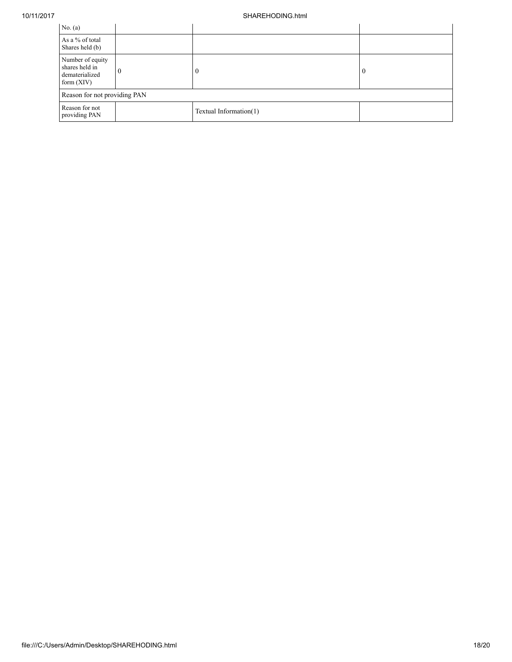## 10/11/2017 SHAREHODING.html

| No. $(a)$                                                            |   |                        |          |
|----------------------------------------------------------------------|---|------------------------|----------|
| As a % of total<br>Shares held (b)                                   |   |                        |          |
| Number of equity<br>shares held in<br>dematerialized<br>form $(XIV)$ | 0 |                        | $\theta$ |
| Reason for not providing PAN                                         |   |                        |          |
| Reason for not<br>providing PAN                                      |   | Textual Information(1) |          |